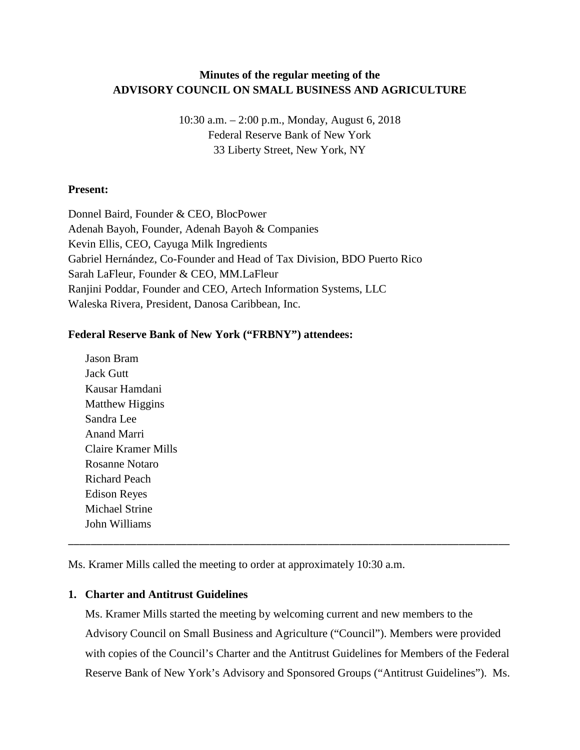# **Minutes of the regular meeting of the ADVISORY COUNCIL ON SMALL BUSINESS AND AGRICULTURE**

10:30 a.m. – 2:00 p.m., Monday, August 6, 2018 Federal Reserve Bank of New York 33 Liberty Street, New York, NY

### **Present:**

Donnel Baird, Founder & CEO, BlocPower Adenah Bayoh, Founder, Adenah Bayoh & Companies Kevin Ellis, CEO, Cayuga Milk Ingredients Gabriel Hernández, Co-Founder and Head of Tax Division, BDO Puerto Rico Sarah LaFleur, Founder & CEO, MM.LaFleur Ranjini Poddar, Founder and CEO, Artech Information Systems, LLC Waleska Rivera, President, Danosa Caribbean, Inc.

### **Federal Reserve Bank of New York ("FRBNY") attendees:**

Jason Bram Jack Gutt Kausar Hamdani Matthew Higgins Sandra Lee Anand Marri Claire Kramer Mills Rosanne Notaro Richard Peach Edison Reyes Michael Strine John Williams

Ms. Kramer Mills called the meeting to order at approximately 10:30 a.m.

### **1. Charter and Antitrust Guidelines**

Ms. Kramer Mills started the meeting by welcoming current and new members to the Advisory Council on Small Business and Agriculture ("Council"). Members were provided with copies of the Council's Charter and the Antitrust Guidelines for Members of the Federal Reserve Bank of New York's Advisory and Sponsored Groups ("Antitrust Guidelines"). Ms.

\_\_\_\_\_\_\_\_\_\_\_\_\_\_\_\_\_\_\_\_\_\_\_\_\_\_\_\_\_\_\_\_\_\_\_\_\_\_\_\_\_\_\_\_\_\_\_\_\_\_\_\_\_\_\_\_\_\_\_\_\_\_\_\_\_\_\_\_\_\_\_\_\_\_\_\_\_\_